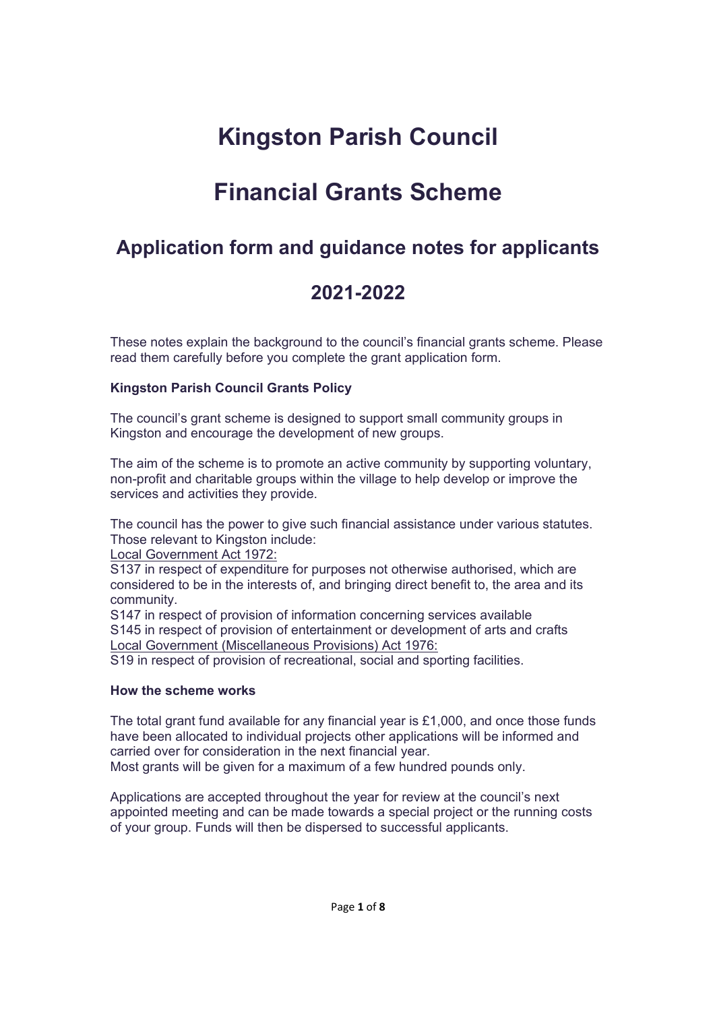# **Kingston Parish Council**

## **Financial Grants Scheme**

## **Application form and guidance notes for applicants**

## **2021-2022**

These notes explain the background to the council's financial grants scheme. Please read them carefully before you complete the grant application form.

#### **Kingston Parish Council Grants Policy**

The council's grant scheme is designed to support small community groups in Kingston and encourage the development of new groups.

The aim of the scheme is to promote an active community by supporting voluntary, non-profit and charitable groups within the village to help develop or improve the services and activities they provide.

The council has the power to give such financial assistance under various statutes. Those relevant to Kingston include:

Local Government Act 1972:

S137 in respect of expenditure for purposes not otherwise authorised, which are considered to be in the interests of, and bringing direct benefit to, the area and its community.

S147 in respect of provision of information concerning services available S145 in respect of provision of entertainment or development of arts and crafts Local Government (Miscellaneous Provisions) Act 1976:

S19 in respect of provision of recreational, social and sporting facilities.

#### **How the scheme works**

The total grant fund available for any financial year is £1,000, and once those funds have been allocated to individual projects other applications will be informed and carried over for consideration in the next financial year. Most grants will be given for a maximum of a few hundred pounds only.

Applications are accepted throughout the year for review at the council's next appointed meeting and can be made towards a special project or the running costs of your group. Funds will then be dispersed to successful applicants.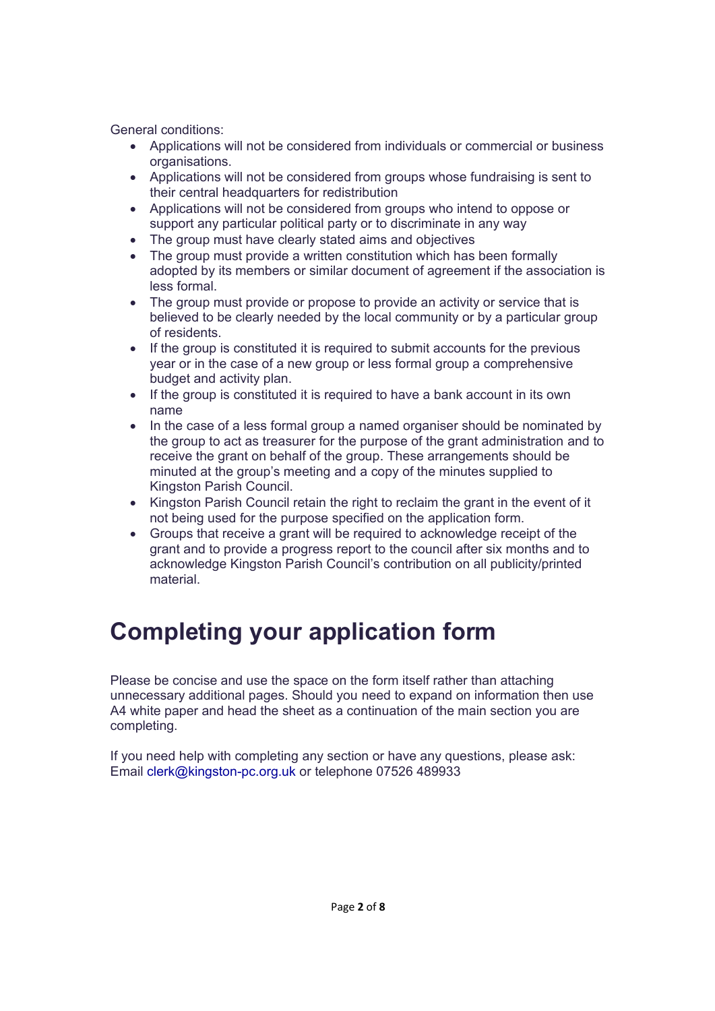General conditions:

- Applications will not be considered from individuals or commercial or business organisations.
- Applications will not be considered from groups whose fundraising is sent to their central headquarters for redistribution
- Applications will not be considered from groups who intend to oppose or support any particular political party or to discriminate in any way
- The group must have clearly stated aims and objectives
- The group must provide a written constitution which has been formally adopted by its members or similar document of agreement if the association is less formal.
- The group must provide or propose to provide an activity or service that is believed to be clearly needed by the local community or by a particular group of residents.
- If the group is constituted it is required to submit accounts for the previous year or in the case of a new group or less formal group a comprehensive budget and activity plan.
- If the group is constituted it is required to have a bank account in its own name
- In the case of a less formal group a named organiser should be nominated by the group to act as treasurer for the purpose of the grant administration and to receive the grant on behalf of the group. These arrangements should be minuted at the group's meeting and a copy of the minutes supplied to Kingston Parish Council.
- Kingston Parish Council retain the right to reclaim the grant in the event of it not being used for the purpose specified on the application form.
- Groups that receive a grant will be required to acknowledge receipt of the grant and to provide a progress report to the council after six months and to acknowledge Kingston Parish Council's contribution on all publicity/printed material.

# **Completing your application form**

Please be concise and use the space on the form itself rather than attaching unnecessary additional pages. Should you need to expand on information then use A4 white paper and head the sheet as a continuation of the main section you are completing.

If you need help with completing any section or have any questions, please ask: Email clerk@kingston-pc.org.uk or telephone 07526 489933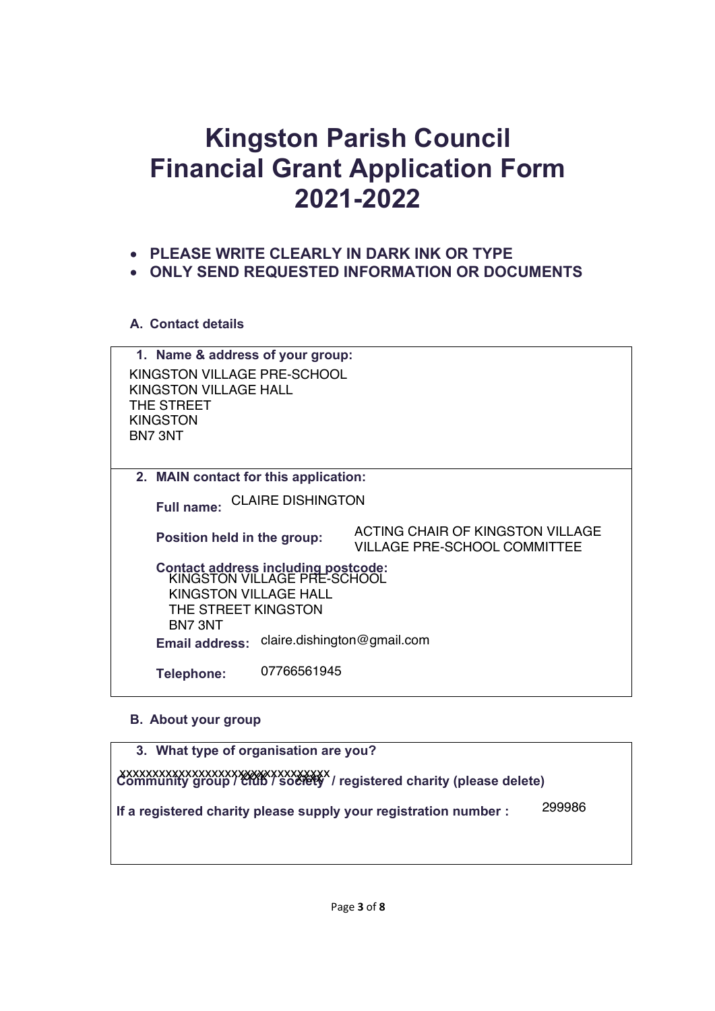# **Kingston Parish Council Financial Grant Application Form 2021-2022**

- x **PLEASE WRITE CLEARLY IN DARK INK OR TYPE**
- **ONLY SEND REQUESTED INFORMATION OR DOCUMENTS**

### **A. Contact details**

| 1. Name & address of your group:                                   |                                                                         |  |  |  |
|--------------------------------------------------------------------|-------------------------------------------------------------------------|--|--|--|
| KINGSTON VILLAGE PRE-SCHOOL                                        |                                                                         |  |  |  |
| KINGSTON VILLAGE HALL                                              |                                                                         |  |  |  |
| THE STREET                                                         |                                                                         |  |  |  |
| <b>KINGSTON</b>                                                    |                                                                         |  |  |  |
| BN7 3NT                                                            |                                                                         |  |  |  |
|                                                                    |                                                                         |  |  |  |
| 2. MAIN contact for this application:                              |                                                                         |  |  |  |
| <b>CLAIRE DISHINGTON</b><br><b>Full name:</b>                      |                                                                         |  |  |  |
| Position held in the group:                                        | ACTING CHAIR OF KINGSTON VILLAGE<br><b>VILLAGE PRE-SCHOOL COMMITTEE</b> |  |  |  |
| Contact address including postcode:<br>KINGSTON VILLAGE PRE-SCHOOL |                                                                         |  |  |  |
|                                                                    |                                                                         |  |  |  |
| KINGSTON VILLAGE HALL<br>THE STREET KINGSTON                       |                                                                         |  |  |  |
| BN7 3NT                                                            |                                                                         |  |  |  |
| Email address:                                                     | claire.dishington@gmail.com                                             |  |  |  |
|                                                                    |                                                                         |  |  |  |
| 07766561945<br>Telephone:                                          |                                                                         |  |  |  |
|                                                                    |                                                                         |  |  |  |

### **B. About your group**

| 3. What type of organisation are you?                                      |  |  |
|----------------------------------------------------------------------------|--|--|
|                                                                            |  |  |
|                                                                            |  |  |
|                                                                            |  |  |
|                                                                            |  |  |
| 299986<br>If a registered charity please supply your registration number : |  |  |
|                                                                            |  |  |
|                                                                            |  |  |
|                                                                            |  |  |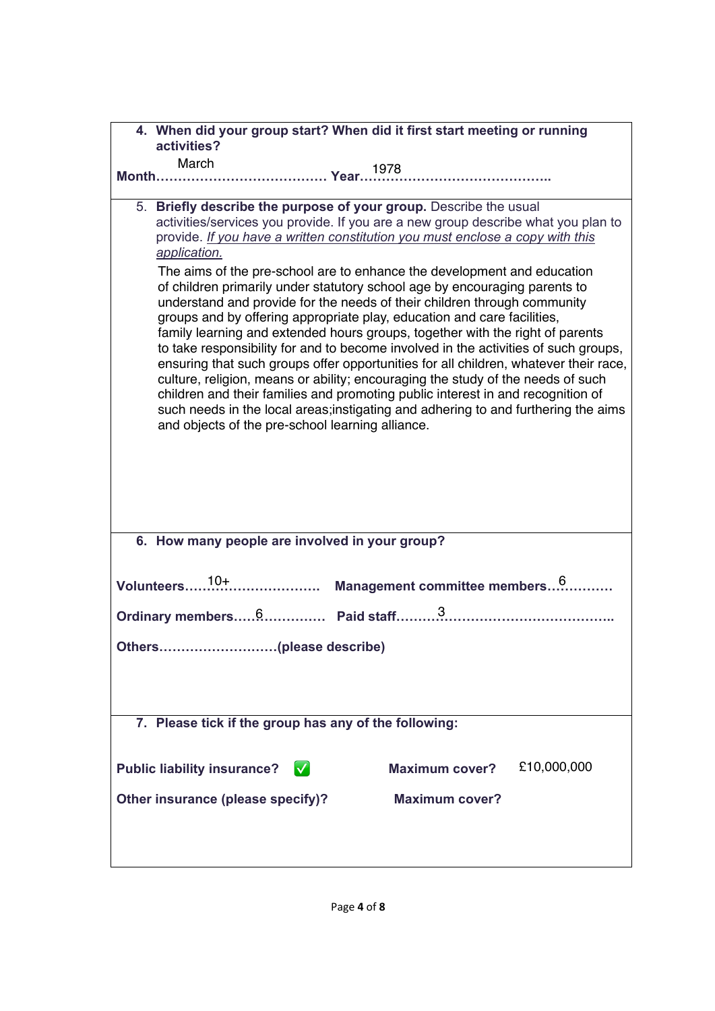| 4. When did your group start? When did it first start meeting or running<br>activities?                                                                                                                                                                                                                                                                                                                                                                                                                                                                                                                                                                                                                                                                                                                                                                                                                                                                                                                                                                                                                                                                 |  |  |
|---------------------------------------------------------------------------------------------------------------------------------------------------------------------------------------------------------------------------------------------------------------------------------------------------------------------------------------------------------------------------------------------------------------------------------------------------------------------------------------------------------------------------------------------------------------------------------------------------------------------------------------------------------------------------------------------------------------------------------------------------------------------------------------------------------------------------------------------------------------------------------------------------------------------------------------------------------------------------------------------------------------------------------------------------------------------------------------------------------------------------------------------------------|--|--|
| March                                                                                                                                                                                                                                                                                                                                                                                                                                                                                                                                                                                                                                                                                                                                                                                                                                                                                                                                                                                                                                                                                                                                                   |  |  |
|                                                                                                                                                                                                                                                                                                                                                                                                                                                                                                                                                                                                                                                                                                                                                                                                                                                                                                                                                                                                                                                                                                                                                         |  |  |
| 5. Briefly describe the purpose of your group. Describe the usual<br>activities/services you provide. If you are a new group describe what you plan to<br>provide. If you have a written constitution you must enclose a copy with this<br>application.<br>The aims of the pre-school are to enhance the development and education<br>of children primarily under statutory school age by encouraging parents to<br>understand and provide for the needs of their children through community<br>groups and by offering appropriate play, education and care facilities,<br>family learning and extended hours groups, together with the right of parents<br>to take responsibility for and to become involved in the activities of such groups,<br>ensuring that such groups offer opportunities for all children, whatever their race,<br>culture, religion, means or ability; encouraging the study of the needs of such<br>children and their families and promoting public interest in and recognition of<br>such needs in the local areas; instigating and adhering to and furthering the aims<br>and objects of the pre-school learning alliance. |  |  |
| 6. How many people are involved in your group?                                                                                                                                                                                                                                                                                                                                                                                                                                                                                                                                                                                                                                                                                                                                                                                                                                                                                                                                                                                                                                                                                                          |  |  |
|                                                                                                                                                                                                                                                                                                                                                                                                                                                                                                                                                                                                                                                                                                                                                                                                                                                                                                                                                                                                                                                                                                                                                         |  |  |
| 7. Please tick if the group has any of the following:                                                                                                                                                                                                                                                                                                                                                                                                                                                                                                                                                                                                                                                                                                                                                                                                                                                                                                                                                                                                                                                                                                   |  |  |
| £10,000,000<br>$\blacktriangledown$<br><b>Maximum cover?</b><br><b>Public liability insurance?</b><br>Other insurance (please specify)?<br><b>Maximum cover?</b>                                                                                                                                                                                                                                                                                                                                                                                                                                                                                                                                                                                                                                                                                                                                                                                                                                                                                                                                                                                        |  |  |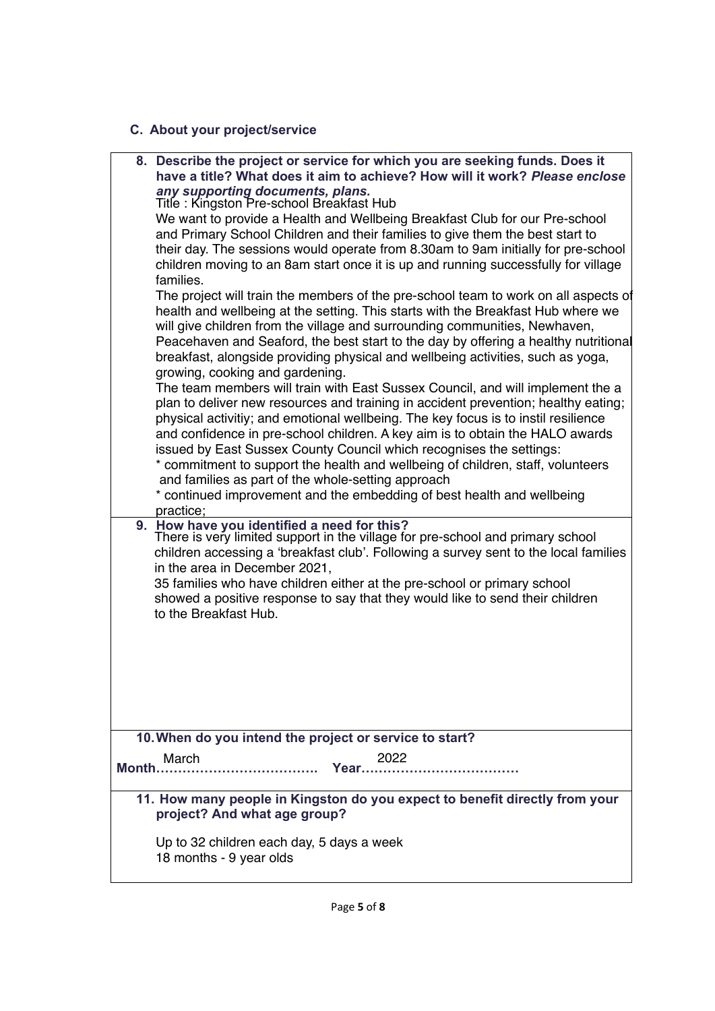### **C. About your project/service**

|       | 8. Describe the project or service for which you are seeking funds. Does it<br>have a title? What does it aim to achieve? How will it work? Please enclose                                                                                                                                                                                                                                                                                                                                                                                                        |
|-------|-------------------------------------------------------------------------------------------------------------------------------------------------------------------------------------------------------------------------------------------------------------------------------------------------------------------------------------------------------------------------------------------------------------------------------------------------------------------------------------------------------------------------------------------------------------------|
|       | any supporting documents, plans.<br>Title: Kingston Pre-school Breakfast Hub                                                                                                                                                                                                                                                                                                                                                                                                                                                                                      |
|       | We want to provide a Health and Wellbeing Breakfast Club for our Pre-school<br>and Primary School Children and their families to give them the best start to<br>their day. The sessions would operate from 8.30am to 9am initially for pre-school<br>children moving to an 8am start once it is up and running successfully for village                                                                                                                                                                                                                           |
|       | families.<br>The project will train the members of the pre-school team to work on all aspects of<br>health and wellbeing at the setting. This starts with the Breakfast Hub where we<br>will give children from the village and surrounding communities, Newhaven,<br>Peacehaven and Seaford, the best start to the day by offering a healthy nutritional<br>breakfast, alongside providing physical and wellbeing activities, such as yoga,<br>growing, cooking and gardening.<br>The team members will train with East Sussex Council, and will implement the a |
|       | plan to deliver new resources and training in accident prevention; healthy eating;<br>physical activitiy; and emotional wellbeing. The key focus is to instil resilience                                                                                                                                                                                                                                                                                                                                                                                          |
|       | and confidence in pre-school children. A key aim is to obtain the HALO awards<br>issued by East Sussex County Council which recognises the settings:                                                                                                                                                                                                                                                                                                                                                                                                              |
|       | * commitment to support the health and wellbeing of children, staff, volunteers<br>and families as part of the whole-setting approach                                                                                                                                                                                                                                                                                                                                                                                                                             |
|       | * continued improvement and the embedding of best health and wellbeing<br>practice;                                                                                                                                                                                                                                                                                                                                                                                                                                                                               |
|       | 9. How have you identified a need for this?<br>There is very limited support in the village for pre-school and primary school<br>children accessing a 'breakfast club'. Following a survey sent to the local families<br>in the area in December 2021,                                                                                                                                                                                                                                                                                                            |
|       | 35 families who have children either at the pre-school or primary school<br>showed a positive response to say that they would like to send their children<br>to the Breakfast Hub.                                                                                                                                                                                                                                                                                                                                                                                |
|       |                                                                                                                                                                                                                                                                                                                                                                                                                                                                                                                                                                   |
|       |                                                                                                                                                                                                                                                                                                                                                                                                                                                                                                                                                                   |
|       |                                                                                                                                                                                                                                                                                                                                                                                                                                                                                                                                                                   |
|       | 10. When do you intend the project or service to start?<br>March<br>2022                                                                                                                                                                                                                                                                                                                                                                                                                                                                                          |
| Month | Year.<br>.                                                                                                                                                                                                                                                                                                                                                                                                                                                                                                                                                        |
|       | 11. How many people in Kingston do you expect to benefit directly from your<br>project? And what age group?                                                                                                                                                                                                                                                                                                                                                                                                                                                       |
|       | Up to 32 children each day, 5 days a week<br>18 months - 9 year olds                                                                                                                                                                                                                                                                                                                                                                                                                                                                                              |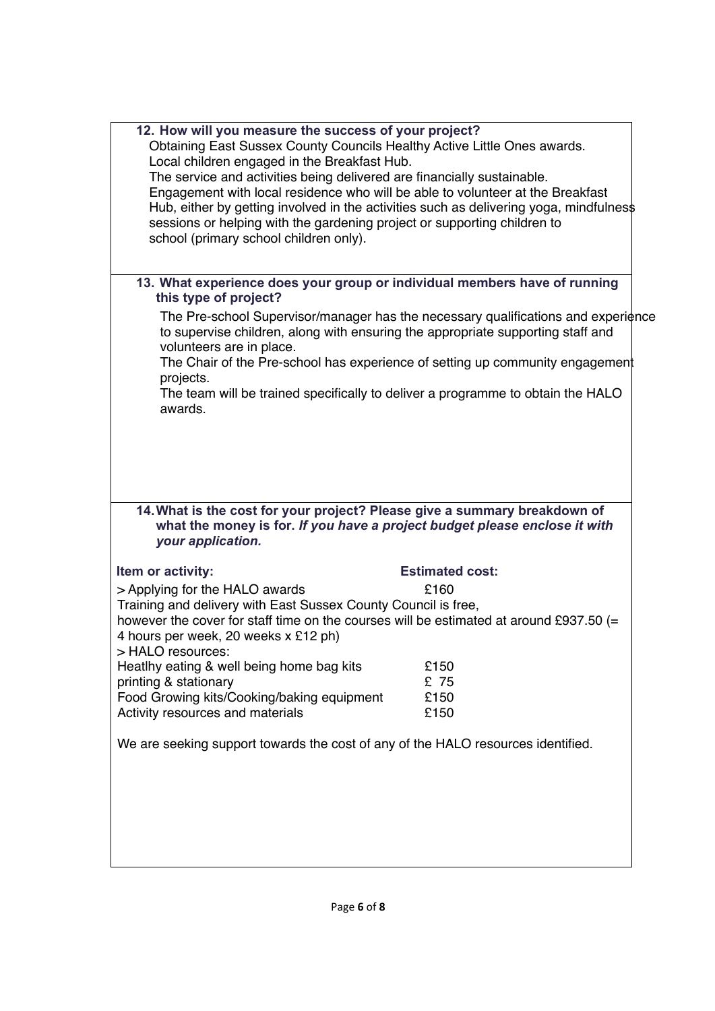| 12. How will you measure the success of your project?<br>Obtaining East Sussex County Councils Healthy Active Little Ones awards.<br>Local children engaged in the Breakfast Hub.<br>The service and activities being delivered are financially sustainable.<br>Engagement with local residence who will be able to volunteer at the Breakfast<br>Hub, either by getting involved in the activities such as delivering yoga, mindfulnes\$<br>sessions or helping with the gardening project or supporting children to<br>school (primary school children only). |                                                                                   |
|-----------------------------------------------------------------------------------------------------------------------------------------------------------------------------------------------------------------------------------------------------------------------------------------------------------------------------------------------------------------------------------------------------------------------------------------------------------------------------------------------------------------------------------------------------------------|-----------------------------------------------------------------------------------|
| 13. What experience does your group or individual members have of running<br>this type of project?                                                                                                                                                                                                                                                                                                                                                                                                                                                              |                                                                                   |
| to supervise children, along with ensuring the appropriate supporting staff and<br>volunteers are in place.<br>The Chair of the Pre-school has experience of setting up community engagement<br>projects.<br>The team will be trained specifically to deliver a programme to obtain the HALO                                                                                                                                                                                                                                                                    | The Pre-school Supervisor/manager has the necessary qualifications and experience |
| awards.                                                                                                                                                                                                                                                                                                                                                                                                                                                                                                                                                         |                                                                                   |
| 14. What is the cost for your project? Please give a summary breakdown of<br>what the money is for. If you have a project budget please enclose it with<br>your application.                                                                                                                                                                                                                                                                                                                                                                                    |                                                                                   |
| Item or activity:                                                                                                                                                                                                                                                                                                                                                                                                                                                                                                                                               | <b>Estimated cost:</b>                                                            |
| > Applying for the HALO awards                                                                                                                                                                                                                                                                                                                                                                                                                                                                                                                                  | £160                                                                              |
| Training and delivery with East Sussex County Council is free,<br>however the cover for staff time on the courses will be estimated at around £937.50 (=<br>4 hours per week, 20 weeks x £12 ph)<br>> HALO resources:                                                                                                                                                                                                                                                                                                                                           |                                                                                   |
| Heatlhy eating & well being home bag kits                                                                                                                                                                                                                                                                                                                                                                                                                                                                                                                       | £150                                                                              |
| printing & stationary                                                                                                                                                                                                                                                                                                                                                                                                                                                                                                                                           | £ 75                                                                              |
| Food Growing kits/Cooking/baking equipment<br>Activity resources and materials                                                                                                                                                                                                                                                                                                                                                                                                                                                                                  | £150<br>£150                                                                      |
| We are seeking support towards the cost of any of the HALO resources identified.                                                                                                                                                                                                                                                                                                                                                                                                                                                                                |                                                                                   |
|                                                                                                                                                                                                                                                                                                                                                                                                                                                                                                                                                                 |                                                                                   |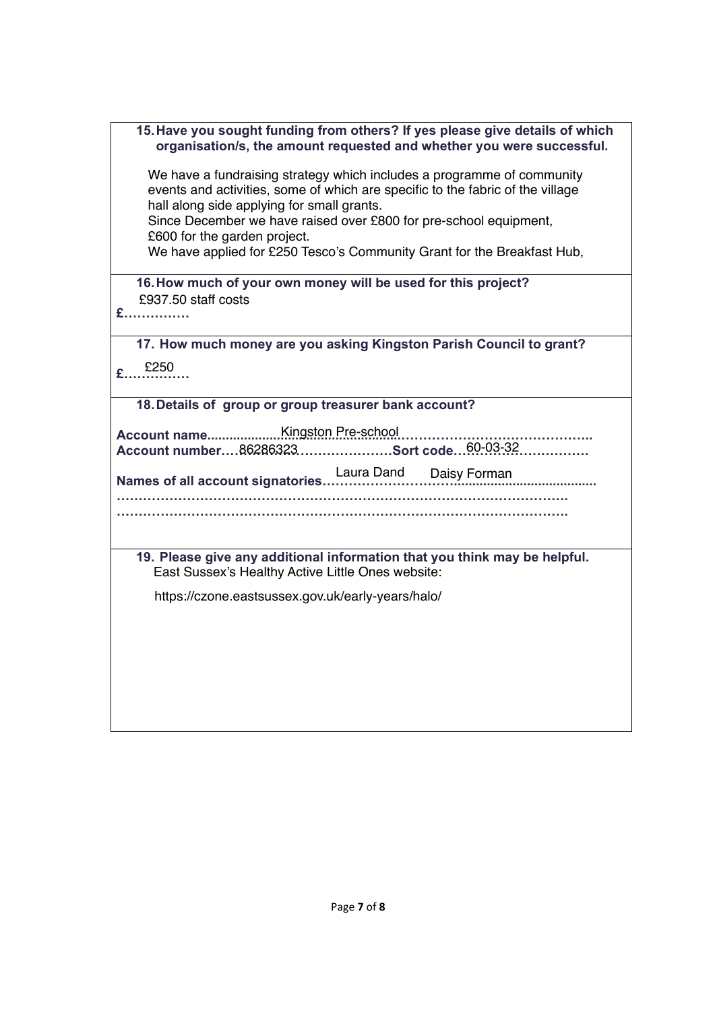| 15. Have you sought funding from others? If yes please give details of which<br>organisation/s, the amount requested and whether you were successful. |  |  |
|-------------------------------------------------------------------------------------------------------------------------------------------------------|--|--|
| We have a fundraising strategy which includes a programme of community                                                                                |  |  |
| events and activities, some of which are specific to the fabric of the village                                                                        |  |  |
| hall along side applying for small grants.                                                                                                            |  |  |
| Since December we have raised over £800 for pre-school equipment,                                                                                     |  |  |
| £600 for the garden project.                                                                                                                          |  |  |
| We have applied for £250 Tesco's Community Grant for the Breakfast Hub,                                                                               |  |  |
| 16. How much of your own money will be used for this project?                                                                                         |  |  |
| £937.50 staff costs                                                                                                                                   |  |  |
| £                                                                                                                                                     |  |  |
| 17. How much money are you asking Kingston Parish Council to grant?                                                                                   |  |  |
| £250                                                                                                                                                  |  |  |
|                                                                                                                                                       |  |  |
| 18. Details of group or group treasurer bank account?                                                                                                 |  |  |
|                                                                                                                                                       |  |  |
| Account number86286323Sort code60-03-32                                                                                                               |  |  |
|                                                                                                                                                       |  |  |
|                                                                                                                                                       |  |  |
|                                                                                                                                                       |  |  |
|                                                                                                                                                       |  |  |
| 19. Please give any additional information that you think may be helpful.                                                                             |  |  |
| East Sussex's Healthy Active Little Ones website:                                                                                                     |  |  |
| https://czone.eastsussex.gov.uk/early-years/halo/                                                                                                     |  |  |
|                                                                                                                                                       |  |  |
|                                                                                                                                                       |  |  |
|                                                                                                                                                       |  |  |
|                                                                                                                                                       |  |  |
|                                                                                                                                                       |  |  |
|                                                                                                                                                       |  |  |